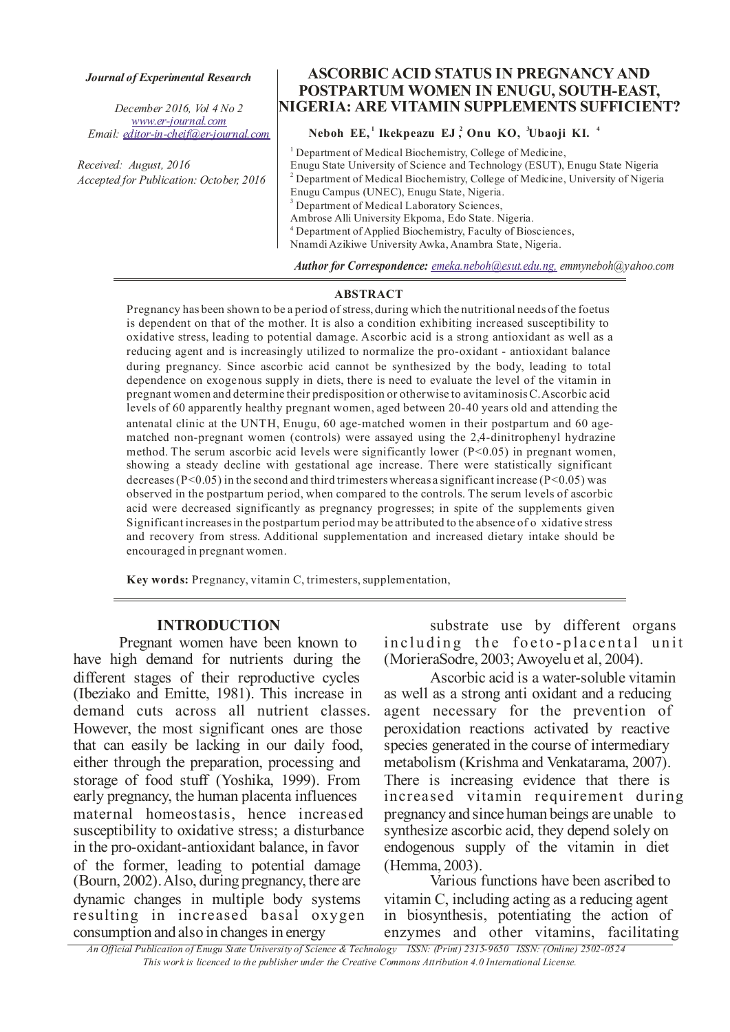#### *Journal of Experimental Research*

*December 2016, Vol 4 No 2 Email: editor-in-cheif@er-journal.com www.er-journal.com*

*Received: August, 2016 Accepted for Publication: October, 2016* 

# ASCORBIC ACID STATUS IN PREGNANCY AND POSTPARTUM WOMEN IN ENUGU, SOUTH-EAST, NIGERIA: ARE VITAMIN SUPPLEMENTS SUFFICIENT?

# Neboh  $EE$ , Ikekpeazu  $EJ$ , Onu KO, Ubaoji KI.<sup>4</sup>

<sup>1</sup> Department of Medical Biochemistry, College of Medicine, Enugu State University of Science and Technology (ESUT), Enugu State Nigeria Department of Medical Laboratory Sciences, Ambrose Alli University Ekpoma, Edo State. Nigeria. <sup>4</sup> Department of Applied Biochemistry, Faculty of Biosciences, Nnamdi Azikiwe University Awka, Anambra State, Nigeria. 3 <sup>2</sup> Department of Medical Biochemistry, College of Medicine, University of Nigeria Enugu Campus (UNEC), Enugu State, Nigeria.

*Author for Correspondence: emeka.neboh@esut.edu.ng, emmyneboh@yahoo.com* 

#### ABSTRACT

Pregnancy has been shown to be a period of stress, during which the nutritional needs of the foetus is dependent on that of the mother. It is also a condition exhibiting increased susceptibility to oxidative stress, leading to potential damage. Ascorbic acid is a strong antioxidant as well as a reducing agent and is increasingly utilized to normalize the pro-oxidant - antioxidant balance during pregnancy. Since ascorbic acid cannot be synthesized by the body, leading to total dependence on exogenous supply in diets, there is need to evaluate the level of the vitamin in pregnant women and determine their predisposition or otherwise to avitaminosis C. Ascorbic acid levels of 60 apparently healthy pregnant women, aged between 20-40 years old and attending the antenatal clinic at the UNTH, Enugu, 60 age-matched women in their postpartum and 60 agematched non-pregnant women (controls) were assayed using the 2,4-dinitrophenyl hydrazine method. The serum ascorbic acid levels were significantly lower  $(P< 0.05)$  in pregnant women, showing a steady decline with gestational age increase. There were statistically significant decreases ( $P<0.05$ ) in the second and third trimesters whereas a significant increase ( $P<0.05$ ) was observed in the postpartum period, when compared to the controls. The serum levels of ascorbic acid were decreased significantly as pregnancy progresses; in spite of the supplements given Significant increases in the postpartum period may be attributed to the absence of o xidative stress and recovery from stress. Additional supplementation and increased dietary intake should be encouraged in pregnant women.

Key words: Pregnancy, vitamin C, trimesters, supplementation,

## INTRODUCTION

Pregnant women have been known to have high demand for nutrients during the different stages of their reproductive cycles (Ibeziako and Emitte, 1981). This increase in demand cuts across all nutrient classes. However, the most significant ones are those that can easily be lacking in our daily food, either through the preparation, processing and storage of food stuff (Yoshika, 1999). From early pregnancy, the human placenta influences maternal homeostasis, hence increased susceptibility to oxidative stress; a disturbance in the pro-oxidant-antioxidant balance, in favor of the former, leading to potential damage (Bourn, 2002). Also, during pregnancy, there are dynamic changes in multiple body systems resulting in increased basal oxygen consumption and also in changes in energy

substrate use by different organs including the foeto-placental unit (MorieraSodre, 2003; Awoyelu et al, 2004).

Ascorbic acid is a water-soluble vitamin as well as a strong anti oxidant and a reducing agent necessary for the prevention of peroxidation reactions activated by reactive species generated in the course of intermediary metabolism (Krishma and Venkatarama, 2007). There is increasing evidence that there is increased vitamin requirement during pregnancy and since human beings are unable to synthesize ascorbic acid, they depend solely on endogenous supply of the vitamin in diet (Hemma, 2003).

Various functions have been ascribed to vitamin C, including acting as a reducing agent in biosynthesis, potentiating the action of enzymes and other vitamins, facilitating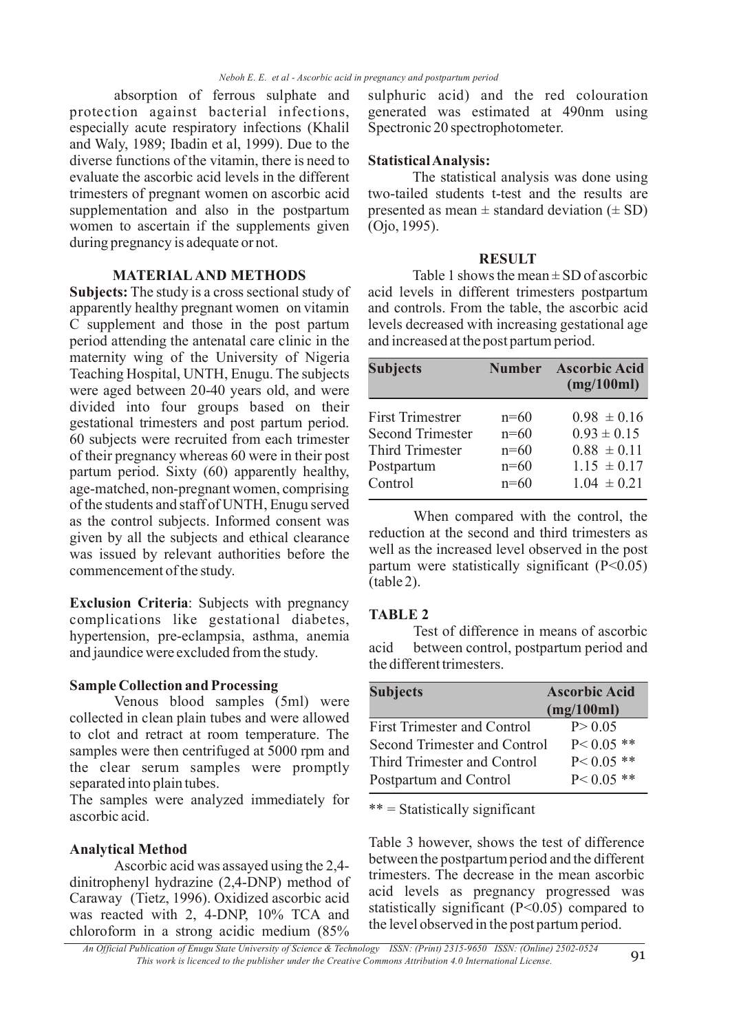absorption of ferrous sulphate and protection against bacterial infections, especially acute respiratory infections (Khalil and Waly, 1989; Ibadin et al, 1999). Due to the diverse functions of the vitamin, there is need to evaluate the ascorbic acid levels in the different trimesters of pregnant women on ascorbic acid supplementation and also in the postpartum women to ascertain if the supplements given during pregnancy is adequate or not.

# MATERIAL AND METHODS

Subjects: The study is a cross sectional study of apparently healthy pregnant women on vitamin C supplement and those in the post partum period attending the antenatal care clinic in the maternity wing of the University of Nigeria Teaching Hospital, UNTH, Enugu. The subjects were aged between 20-40 years old, and were divided into four groups based on their gestational trimesters and post partum period. 60 subjects were recruited from each trimester of their pregnancy whereas 60 were in their post partum period. Sixty (60) apparently healthy, age-matched, non-pregnant women, comprising of the students and staff of UNTH, Enugu served as the control subjects. Informed consent was given by all the subjects and ethical clearance was issued by relevant authorities before the commencement of the study.

Exclusion Criteria: Subjects with pregnancy complications like gestational diabetes, hypertension, pre-eclampsia, asthma, anemia and jaundice were excluded from the study.

### Sample Collection and Processing

Venous blood samples (5ml) were collected in clean plain tubes and were allowed to clot and retract at room temperature. The samples were then centrifuged at 5000 rpm and the clear serum samples were promptly separated into plain tubes.

The samples were analyzed immediately for ascorbic acid.

## Analytical Method

Ascorbic acid was assayed using the 2,4 dinitrophenyl hydrazine (2,4-DNP) method of Caraway (Tietz, 1996). Oxidized ascorbic acid was reacted with 2, 4-DNP, 10% TCA and chloroform in a strong acidic medium (85%

sulphuric acid) and the red colouration generated was estimated at 490nm using Spectronic 20 spectrophotometer.

## Statistical Analysis:

The statistical analysis was done using two-tailed students t-test and the results are presented as mean  $\pm$  standard deviation ( $\pm$  SD) (Ojo, 1995).

#### **RESULT**

Table 1 shows the mean  $\pm$  SD of ascorbic acid levels in different trimesters postpartum and controls. From the table, the ascorbic acid levels decreased with increasing gestational age and increased at the post partum period.

| <b>Subjects</b>         | <b>Number</b> | <b>Ascorbic Acid</b><br>(mg/100ml) |
|-------------------------|---------------|------------------------------------|
| <b>First Trimestrer</b> | $n=60$        | $0.98 \pm 0.16$                    |
| <b>Second Trimester</b> | $n=60$        | $0.93 \pm 0.15$                    |
| <b>Third Trimester</b>  | $n=60$        | $0.88 \pm 0.11$                    |
| Postpartum              | $n=60$        | $1.15 \pm 0.17$                    |
| Control                 | $n=60$        | $1.04 \pm 0.21$                    |

When compared with the control, the reduction at the second and third trimesters as well as the increased level observed in the post partum were statistically significant (P<0.05) (table 2).

## TABLE 2

Test of difference in means of ascorbic acid between control, postpartum period and the different trimesters.

| <b>Subjects</b>                    | <b>Ascorbic Acid</b> |
|------------------------------------|----------------------|
|                                    | (mg/100ml)           |
| <b>First Trimester and Control</b> | P > 0.05             |
| Second Trimester and Control       | $P < 0.05$ **        |
| Third Trimester and Control        | $P < 0.05$ **        |
| Postpartum and Control             | $P < 0.05$ **        |

 $***$  = Statistically significant

Table 3 however, shows the test of difference between the postpartum period and the different trimesters. The decrease in the mean ascorbic acid levels as pregnancy progressed was statistically significant  $(P<0.05)$  compared to the level observed in the post partum period.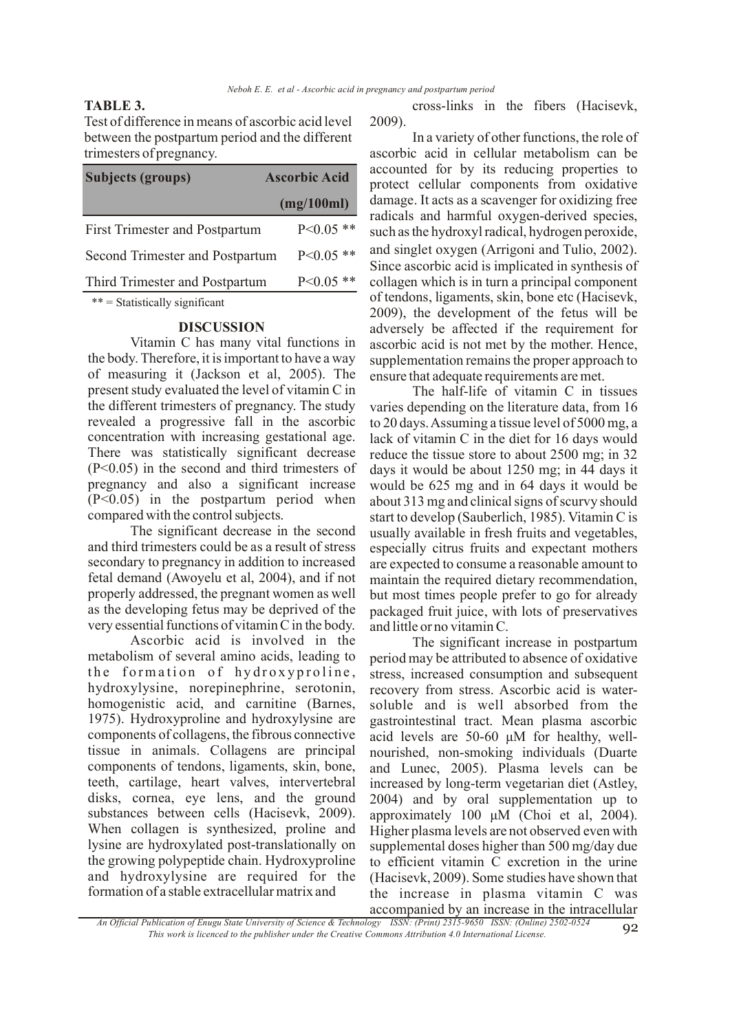### TABLE 3.

Test of difference in means of ascorbic acid level between the postpartum period and the different trimesters of pregnancy.

| <b>Subjects (groups)</b>              | <b>Ascorbic Acid</b> |
|---------------------------------------|----------------------|
|                                       | (mg/100ml)           |
| <b>First Trimester and Postpartum</b> | $P<0.05$ **          |
| Second Trimester and Postpartum       | $P<0.05$ **          |
| Third Trimester and Postpartum        | $P<0.05$ **          |

 $*** = Statistically significant$ 

#### DISCUSSION

of measuring it (Jackson et al, 2005). The present study evaluated the level of vitamin C in the different trimesters of pregnancy. The study revealed a progressive fall in the ascorbic concentration with increasing gestational age. There was statistically significant decrease (P<0.05) in the second and third trimesters of pregnancy and also a significant increase (P<0.05) in the postpartum period when compared with the control subjects. Vitamin C has many vital functions in the body. Therefore, it is important to have a way

The significant decrease in the second and third trimesters could be as a result of stress secondary to pregnancy in addition to increased fetal demand (Awoyelu et al, 2004), and if not properly addressed, the pregnant women as well as the developing fetus may be deprived of the very essential functions of vitamin C in the body.

Ascorbic acid is involved in the metabolism of several amino acids, leading to the formation of hydroxyproline, hydroxylysine, norepinephrine, serotonin, homogenistic acid, and carnitine (Barnes, 1975). Hydroxyproline and hydroxylysine are components of collagens, the fibrous connective tissue in animals. Collagens are principal components of tendons, ligaments, skin, bone, teeth, cartilage, heart valves, intervertebral disks, cornea, eye lens, and the ground substances between cells (Hacisevk, 2009). When collagen is synthesized, proline and lysine are hydroxylated post-translationally on the growing polypeptide chain. Hydroxyproline and hydroxylysine are required for the formation of a stable extracellular matrix and

cross-links in the fibers (Hacisevk, 2009).

In a variety of other functions, the role of ascorbic acid in cellular metabolism can be accounted for by its reducing properties to protect cellular components from oxidative damage. It acts as a scavenger for oxidizing free radicals and harmful oxygen-derived species, such as the hydroxyl radical, hydrogen peroxide, and singlet oxygen (Arrigoni and Tulio, 2002) . Since ascorbic acid is implicated in synthesis of collagen which is in turn a principal component of tendons, ligaments, skin, bone etc (Hacisevk, 2009), the development of the fetus will be adversely be affected if the requirement for ascorbic acid is not met by the mother. Hence, supplementation remains the proper approach to ensure that adequate requirements are met.

The half-life of vitamin C in tissues varies depending on the literature data, from 16 to 20 days. Assuming a tissue level of 5000 mg, a lack of vitamin C in the diet for 16 days would reduce the tissue store to about 2500 mg; in 32 days it would be about 1250 mg; in 44 days it would be 625 mg and in 64 days it would be about 313 mg and clinical signs of scurvy should start to develop (Sauberlich, 1985). Vitamin C is usually available in fresh fruits and vegetables, especially citrus fruits and expectant mothers are expected to consume a reasonable amount to maintain the required dietary recommendation, but most times people prefer to go for already packaged fruit juice, with lots of preservatives and little or no vitamin C.

The significant increase in postpartum period may be attributed to absence of oxidative stress, increased consumption and subsequent recovery from stress. Ascorbic acid is watersoluble and is well absorbed from the gastrointesti nal tract. Mean plasma ascorbic nourished, non-smoking individuals (Duarte and Lunec, 2005). Plasma levels can be increased by long-term vegetarian diet (Astley, 2004) and by oral supplementation up to approximately 100  $\mu$ M (Choi et al, 2004). Higher plasma levels are not observed even with supplemental doses higher than 500 mg/day due to efficient vitamin C excretion in the urine (Hacisevk, 2009). Some studies have shown that the increase in plasma vitamin C was accompanied by an increase in the intracellular acid levels are 50-60 μM for healthy, well-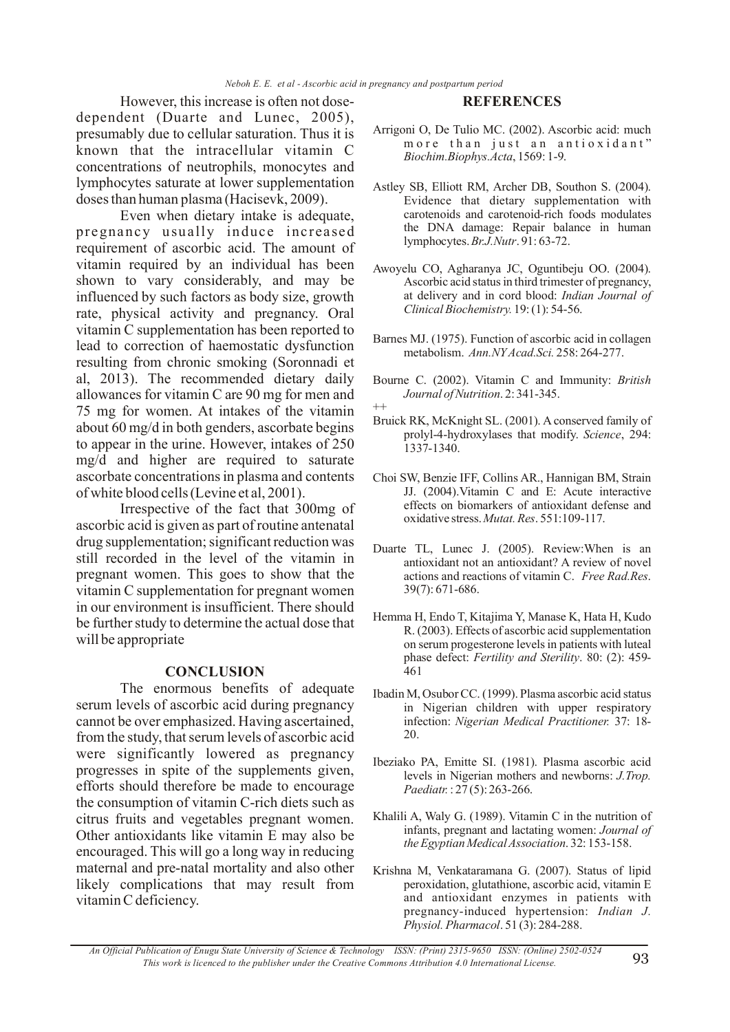However, this increase is often not dosedependent (Duarte and Lunec, 2005), presumably due to cellular saturation. Thus it is known that the intracellular vitamin C concentrations of neutrophils, monocytes and lymphocytes saturate at lower supplementation doses than human plasma (Hacisevk, 2009).

Even when dietary intake is adequate, pregnancy usually induce increased requirement of ascorbic acid. The amount of vitamin required by an individual has been shown to vary considerably, and may be influenced by such factors as body size, growth rate, physical activity and pregnancy. Oral vitamin C supplementation has been reported to lead to correction of haemostatic dysfunction resulting from chronic smoking (Soronnadi et al, 2013). The recommended dietary daily allowances for vitamin C are 90 mg for men and 75 mg for women. At intakes of the vitamin about 60 mg/d in both genders, ascorbate begins to appear in the urine. However, intakes of 250 mg/d and higher are required to saturate ascorbate concentrations in plasma and contents of white blood cells (Levine et al, 2001).

Irrespective of the fact that 300mg of ascorbic acid is given as part of routine antenatal drug supplementation; significant reduction was still recorded in the level of the vitamin in pregnant women. This goes to show that the vitamin C supplementation for pregnant women in our environment is insufficient. There should be further study to determine the actual dose that will be appropriate

#### **CONCLUSION**

The enormous benefits of adequate serum levels of ascorbic acid during pregnancy cannot be over emphasized. Having ascertained, from the study, that serum levels of ascorbic acid were significantly lowered as pregnancy progresses in spite of the supplements given, efforts should therefore be made to encourage the consumption of vitamin C-rich diets such as citrus fruits and vegetables pregnant women. Other antioxidants like vitamin E may also be encouraged. This will go a long way in reducing maternal and pre-natal mortality and also other likely complications that may result from vitamin C deficiency.

### **REFERENCES**

- Arrigoni O, De Tulio MC. (2002). Ascorbic acid: much more than just an antioxidant" , 1569: 1-9. *Biochim.Biophys.Acta*
- Astley SB, Elliott RM, Archer DB, Southon S. (2004). Evidence that dietary supplementation with carotenoids and carotenoid-rich foods modulates the DNA damage: Repair balance in human lymphocytes. *Br.J.Nutr*. 91: 63-72.
- Awoyelu CO, Agharanya JC, Oguntibeju OO. (2004). Ascorbic acid status in third trimester of pregnancy, at delivery and in cord blood: *Indian Journal of*  19: (1): 54-56. *Clinical Biochemistry.*
- Barnes MJ. (1975). Function of ascorbic acid in collagen metabolism. 258: 264-277. *Ann.NY Acad.Sci.*
- Bourne C. (2002). Vitamin C and Immunity: *British*  . 2: 341-345. *Journal of Nutrition*
- ++ Bruick RK, McKnight SL. (2001). A conserved family of prolyl-4-hydroxylases that modify. Science, 294: 1337-1340.
- Choi SW, Benzie IFF, Collins AR., Hannigan BM, Strain JJ. (2004).Vitamin C and E: Acute interactive effects on biomarkers of antioxidant defense and oxidative stress. Mutat. Res. 551:109-117.
- Duarte TL, Lunec J. (2005). Review:When is an antioxidant not an antioxidant? A review of novel actions and reactions of vitamin C. Free Rad.Res. 39(7): 671-686.
- Hemma H, Endo T, Kitajima Y, Manase K, Hata H, Kudo R. (2003). Effects of ascorbic acid supplementation on serum progesterone levels in patients with luteal phase defect: Fertility and Sterility. 80: (2): 459-461
- Ibadin M, Osubor CC. (1999). Plasma ascorbic acid status in Nigerian children with upper respiratory infection: Nigerian Medical Practitioner. 37: 18-20.
- Ibeziako PA, Emitte SI. (1981). Plasma ascorbic acid levels in Nigerian mothers and newborns: *J.Trop.*  : 27 (5): 263-266. *Paediatr.*
- Khalili A, Waly G. (1989). Vitamin C in the nutrition of infants, pregnant and lactating women: *Journal of*  . 32: 153-158. *the Egyptian Medical Association*
- Krishna M, Venkataramana G. (2007). Status of lipid peroxidation, glutathione, ascorbic acid, vitamin E and antioxidant enzymes in patients with pregnancy-induced hypertension: *Indian J.*  . 51 (3): 284-288. *Physiol. Pharmacol*